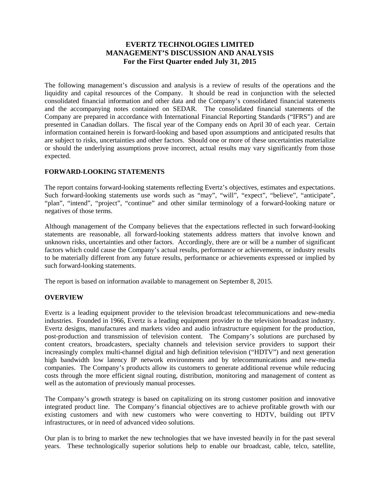# **EVERTZ TECHNOLOGIES LIMITED MANAGEMENT'S DISCUSSION AND ANALYSIS For the First Quarter ended July 31, 2015**

The following management's discussion and analysis is a review of results of the operations and the liquidity and capital resources of the Company. It should be read in conjunction with the selected consolidated financial information and other data and the Company's consolidated financial statements and the accompanying notes contained on SEDAR. The consolidated financial statements of the Company are prepared in accordance with International Financial Reporting Standards ("IFRS") and are presented in Canadian dollars. The fiscal year of the Company ends on April 30 of each year. Certain information contained herein is forward-looking and based upon assumptions and anticipated results that are subject to risks, uncertainties and other factors. Should one or more of these uncertainties materialize or should the underlying assumptions prove incorrect, actual results may vary significantly from those expected.

### **FORWARD-LOOKING STATEMENTS**

The report contains forward-looking statements reflecting Evertz's objectives, estimates and expectations. Such forward-looking statements use words such as "may", "will", "expect", "believe", "anticipate", "plan", "intend", "project", "continue" and other similar terminology of a forward-looking nature or negatives of those terms.

Although management of the Company believes that the expectations reflected in such forward-looking statements are reasonable, all forward-looking statements address matters that involve known and unknown risks, uncertainties and other factors. Accordingly, there are or will be a number of significant factors which could cause the Company's actual results, performance or achievements, or industry results to be materially different from any future results, performance or achievements expressed or implied by such forward-looking statements.

The report is based on information available to management on September 8, 2015.

### **OVERVIEW**

Evertz is a leading equipment provider to the television broadcast telecommunications and new-media industries. Founded in 1966, Evertz is a leading equipment provider to the television broadcast industry. Evertz designs, manufactures and markets video and audio infrastructure equipment for the production, post-production and transmission of television content. The Company's solutions are purchased by content creators, broadcasters, specialty channels and television service providers to support their increasingly complex multi-channel digital and high definition television ("HDTV") and next generation high bandwidth low latency IP network environments and by telecommunications and new-media companies. The Company's products allow its customers to generate additional revenue while reducing costs through the more efficient signal routing, distribution, monitoring and management of content as well as the automation of previously manual processes.

The Company's growth strategy is based on capitalizing on its strong customer position and innovative integrated product line. The Company's financial objectives are to achieve profitable growth with our existing customers and with new customers who were converting to HDTV, building out IPTV infrastructures, or in need of advanced video solutions.

Our plan is to bring to market the new technologies that we have invested heavily in for the past several years. These technologically superior solutions help to enable our broadcast, cable, telco, satellite,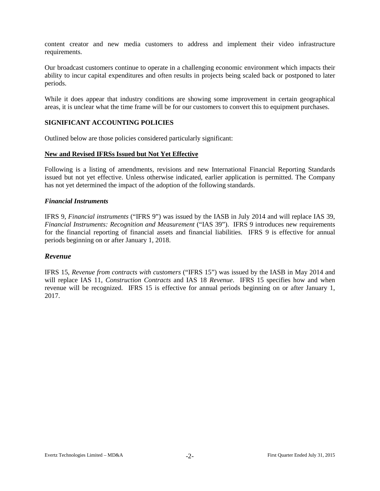content creator and new media customers to address and implement their video infrastructure requirements.

Our broadcast customers continue to operate in a challenging economic environment which impacts their ability to incur capital expenditures and often results in projects being scaled back or postponed to later periods.

While it does appear that industry conditions are showing some improvement in certain geographical areas, it is unclear what the time frame will be for our customers to convert this to equipment purchases.

### **SIGNIFICANT ACCOUNTING POLICIES**

Outlined below are those policies considered particularly significant:

#### **New and Revised IFRSs Issued but Not Yet Effective**

Following is a listing of amendments, revisions and new International Financial Reporting Standards issued but not yet effective. Unless otherwise indicated, earlier application is permitted. The Company has not yet determined the impact of the adoption of the following standards.

### *Financial Instruments*

IFRS 9, *Financial instruments* ("IFRS 9") was issued by the IASB in July 2014 and will replace IAS 39, *Financial Instruments: Recognition and Measurement* ("IAS 39"). IFRS 9 introduces new requirements for the financial reporting of financial assets and financial liabilities. IFRS 9 is effective for annual periods beginning on or after January 1, 2018.

### *Revenue*

IFRS 15, *Revenue from contracts with customers* ("IFRS 15") was issued by the IASB in May 2014 and will replace IAS 11, *Construction Contracts* and IAS 18 *Revenue*. IFRS 15 specifies how and when revenue will be recognized. IFRS 15 is effective for annual periods beginning on or after January 1, 2017.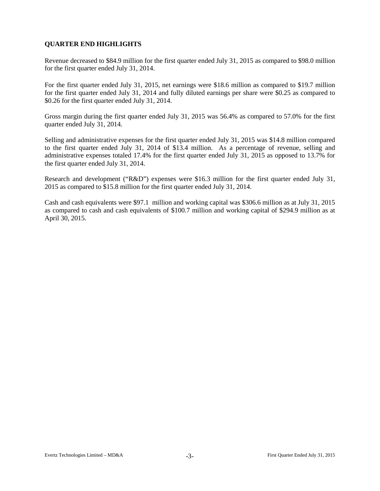# **QUARTER END HIGHLIGHTS**

Revenue decreased to \$84.9 million for the first quarter ended July 31, 2015 as compared to \$98.0 million for the first quarter ended July 31, 2014.

For the first quarter ended July 31, 2015, net earnings were \$18.6 million as compared to \$19.7 million for the first quarter ended July 31, 2014 and fully diluted earnings per share were \$0.25 as compared to \$0.26 for the first quarter ended July 31, 2014.

Gross margin during the first quarter ended July 31, 2015 was 56.4% as compared to 57.0% for the first quarter ended July 31, 2014.

Selling and administrative expenses for the first quarter ended July 31, 2015 was \$14.8 million compared to the first quarter ended July 31, 2014 of \$13.4 million. As a percentage of revenue, selling and administrative expenses totaled 17.4% for the first quarter ended July 31, 2015 as opposed to 13.7% for the first quarter ended July 31, 2014.

Research and development ("R&D") expenses were \$16.3 million for the first quarter ended July 31, 2015 as compared to \$15.8 million for the first quarter ended July 31, 2014.

Cash and cash equivalents were \$97.1 million and working capital was \$306.6 million as at July 31, 2015 as compared to cash and cash equivalents of \$100.7 million and working capital of \$294.9 million as at April 30, 2015.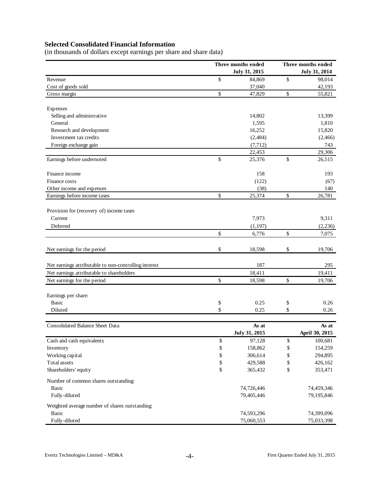# **Selected Consolidated Financial Information**

(in thousands of dollars except earnings per share and share data)

|                                                       | Three months ended |               | Three months ended |                |  |  |
|-------------------------------------------------------|--------------------|---------------|--------------------|----------------|--|--|
|                                                       |                    | July 31, 2015 | July 31, 2014      |                |  |  |
| Revenue                                               | $\mathbb{S}$       | 84,869        | \$                 | 98,014         |  |  |
| Cost of goods sold                                    |                    | 37,040        |                    | 42,193         |  |  |
| Gross margin                                          | \$                 | 47,829        | \$                 | 55,821         |  |  |
| Expenses                                              |                    |               |                    |                |  |  |
| Selling and administrative                            |                    | 14,802        |                    | 13,399         |  |  |
| General                                               |                    | 1,595         |                    | 1,810          |  |  |
| Research and development                              |                    | 16,252        |                    | 15,820         |  |  |
| Investment tax credits                                |                    | (2,484)       |                    | (2,466)        |  |  |
| Foreign exchange gain                                 |                    | (7, 712)      |                    | 743            |  |  |
|                                                       |                    | 22,453        |                    | 29,306         |  |  |
| Earnings before undernoted                            | \$                 | 25,376        | \$                 | 26,515         |  |  |
| Finance income                                        |                    | 158           |                    | 193            |  |  |
| Finance costs                                         |                    | (122)         |                    | (67)           |  |  |
| Other income and expenses                             |                    | (38)          |                    | 140            |  |  |
| Earnings before income taxes                          | \$                 | 25,374        | \$                 | 26,781         |  |  |
| Provision for (recovery of) income taxes              |                    |               |                    |                |  |  |
| Current                                               |                    | 7,973         |                    | 9,311          |  |  |
| Deferred                                              |                    | (1, 197)      |                    | (2, 236)       |  |  |
|                                                       | \$                 | 6,776         | \$                 | 7,075          |  |  |
| Net earnings for the period                           | \$                 | 18,598        | \$                 | 19,706         |  |  |
| Net earnings attributable to non-controlling interest |                    | 187           |                    | 295            |  |  |
| Net earnings attributable to shareholders             |                    | 18,411        |                    | 19,411         |  |  |
| Net earnings for the period                           | \$                 | 18,598        | \$                 | 19,706         |  |  |
|                                                       |                    |               |                    |                |  |  |
| Earnings per share:<br><b>Basic</b>                   |                    | 0.25          |                    | 0.26           |  |  |
| Diluted                                               | \$<br>\$           | 0.25          | \$<br>\$           | 0.26           |  |  |
|                                                       |                    |               |                    |                |  |  |
| <b>Consolidated Balance Sheet Data</b>                |                    | As at         |                    | As at          |  |  |
|                                                       |                    | July 31, 2015 |                    | April 30, 2015 |  |  |
| Cash and cash equivalents                             | \$                 | 97,128        | \$                 | 100,681        |  |  |
| Inventory                                             | \$                 | 158,862       | \$                 | 154,259        |  |  |
| Working capital                                       | \$                 | 306,614       | \$                 | 294,895        |  |  |
| Total assets                                          | \$                 | 429,588       | \$                 | 426,162        |  |  |
| Shareholders' equity                                  | \$                 | 365,432       | \$                 | 353,471        |  |  |
| Number of common shares outstanding:                  |                    |               |                    |                |  |  |
| Basic                                                 |                    | 74,726,446    |                    | 74,459,346     |  |  |
| Fully-diluted                                         |                    | 79,405,446    |                    | 79,195,846     |  |  |
| Weighted average number of shares outstanding:        |                    |               |                    |                |  |  |
| <b>Basic</b>                                          |                    | 74,593,296    |                    | 74,399,096     |  |  |
| Fully-diluted                                         |                    | 75,060,553    |                    | 75,033,398     |  |  |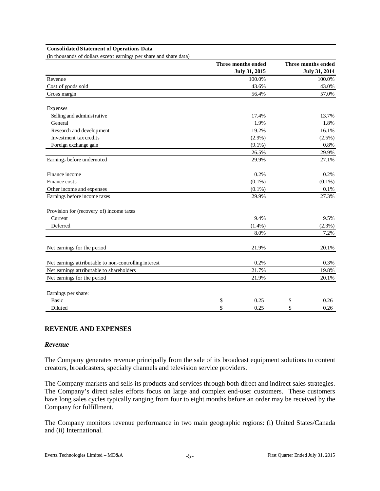#### **Consolidated Statement of Operations Data**

(in thousands of dollars except earnings per share and share data)

|                                                       | Three months ended |       | Three months ended |  |  |
|-------------------------------------------------------|--------------------|-------|--------------------|--|--|
|                                                       | July 31, 2015      |       | July 31, 2014      |  |  |
| Revenue                                               | 100.0%             |       | 100.0%             |  |  |
| Cost of goods sold                                    | 43.6%              | 43.0% |                    |  |  |
| Gross margin                                          | 56.4%              |       | 57.0%              |  |  |
| Expenses                                              |                    |       |                    |  |  |
| Selling and administrative                            | 17.4%              |       | 13.7%              |  |  |
| General                                               | 1.9%               |       | 1.8%               |  |  |
| Research and development                              | 19.2%              |       | 16.1%              |  |  |
| Investment tax credits                                | $(2.9\%)$          |       | (2.5%)             |  |  |
| Foreign exchange gain                                 | $(9.1\%)$          |       | 0.8%               |  |  |
|                                                       | 26.5%              |       | 29.9%              |  |  |
| Earnings before undernoted                            | 29.9%              |       | 27.1%              |  |  |
| Finance income                                        | 0.2%               |       | 0.2%               |  |  |
| Finance costs                                         | $(0.1\%)$          |       | $(0.1\%)$          |  |  |
| Other income and expenses                             | $(0.1\%)$          |       | 0.1%               |  |  |
| Earnings before income taxes                          | 29.9%              |       | 27.3%              |  |  |
| Provision for (recovery of) income taxes              |                    |       |                    |  |  |
| Current                                               | 9.4%               |       | 9.5%               |  |  |
| Deferred                                              | $(1.4\%)$          |       | (2.3%)             |  |  |
|                                                       | 8.0%               |       | 7.2%               |  |  |
| Net earnings for the period                           | 21.9%              |       | 20.1%              |  |  |
| Net earnings attributable to non-controlling interest | 0.2%               |       | 0.3%               |  |  |
| Net earnings attributable to shareholders             | 21.7%              |       | 19.8%              |  |  |
| Net earnings for the period                           | 21.9%              |       | 20.1%              |  |  |
| Earnings per share:                                   |                    |       |                    |  |  |
| <b>Basic</b>                                          | \$<br>0.25         | \$    | 0.26               |  |  |
| Diluted                                               | \$<br>0.25         | \$    | 0.26               |  |  |

#### **REVENUE AND EXPENSES**

#### *Revenue*

The Company generates revenue principally from the sale of its broadcast equipment solutions to content creators, broadcasters, specialty channels and television service providers.

The Company markets and sells its products and services through both direct and indirect sales strategies. The Company's direct sales efforts focus on large and complex end-user customers. These customers have long sales cycles typically ranging from four to eight months before an order may be received by the Company for fulfillment.

The Company monitors revenue performance in two main geographic regions: (i) United States/Canada and (ii) International.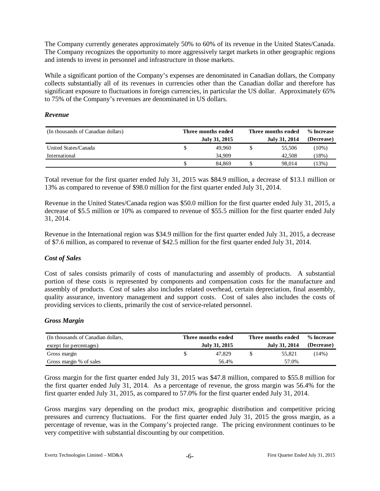The Company currently generates approximately 50% to 60% of its revenue in the United States/Canada. The Company recognizes the opportunity to more aggressively target markets in other geographic regions and intends to invest in personnel and infrastructure in those markets.

While a significant portion of the Company's expenses are denominated in Canadian dollars, the Company collects substantially all of its revenues in currencies other than the Canadian dollar and therefore has significant exposure to fluctuations in foreign currencies, in particular the US dollar. Approximately 65% to 75% of the Company's revenues are denominated in US dollars.

### *Revenue*

| (In thousands of Canadian dollars) | Three months ended | Three months ended | % Increase |  |  |
|------------------------------------|--------------------|--------------------|------------|--|--|
|                                    | July 31, 2015      | July 31, 2014      | (Decrease) |  |  |
| United States/Canada               | 49.960             | 55,506             | $(10\%)$   |  |  |
| International                      | 34,909             | 42,508             | $18\%)$    |  |  |
|                                    | 84.869             | 98,014             | .13%)      |  |  |

Total revenue for the first quarter ended July 31, 2015 was \$84.9 million, a decrease of \$13.1 million or 13% as compared to revenue of \$98.0 million for the first quarter ended July 31, 2014.

Revenue in the United States/Canada region was \$50.0 million for the first quarter ended July 31, 2015, a decrease of \$5.5 million or 10% as compared to revenue of \$55.5 million for the first quarter ended July 31, 2014.

Revenue in the International region was \$34.9 million for the first quarter ended July 31, 2015, a decrease of \$7.6 million, as compared to revenue of \$42.5 million for the first quarter ended July 31, 2014.

### *Cost of Sales*

Cost of sales consists primarily of costs of manufacturing and assembly of products. A substantial portion of these costs is represented by components and compensation costs for the manufacture and assembly of products. Cost of sales also includes related overhead, certain depreciation, final assembly, quality assurance, inventory management and support costs. Cost of sales also includes the costs of providing services to clients, primarily the cost of service-related personnel.

### *Gross Margin*

| (In thousands of Canadian dollars, | Three months ended | Three months ended | % Increase    |            |
|------------------------------------|--------------------|--------------------|---------------|------------|
| except for percentages)            | July 31, 2015      |                    | July 31, 2014 | (Decrease) |
| Gross margin                       | 47.829             |                    | 55.821        | $(14\%)$   |
| Gross margin % of sales            | 56.4%              |                    | 57.0%         |            |

Gross margin for the first quarter ended July 31, 2015 was \$47.8 million, compared to \$55.8 million for the first quarter ended July 31, 2014. As a percentage of revenue, the gross margin was 56.4% for the first quarter ended July 31, 2015, as compared to 57.0% for the first quarter ended July 31, 2014.

Gross margins vary depending on the product mix, geographic distribution and competitive pricing pressures and currency fluctuations. For the first quarter ended July 31, 2015 the gross margin, as a percentage of revenue, was in the Company's projected range. The pricing environment continues to be very competitive with substantial discounting by our competition.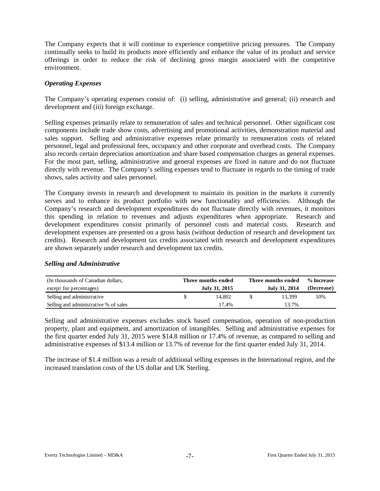The Company expects that it will continue to experience competitive pricing pressures. The Company continually seeks to build its products more efficiently and enhance the value of its product and service offerings in order to reduce the risk of declining gross margin associated with the competitive environment.

### *Operating Expenses*

The Company's operating expenses consist of: (i) selling, administrative and general; (ii) research and development and (iii) foreign exchange.

Selling expenses primarily relate to remuneration of sales and technical personnel. Other significant cost components include trade show costs, advertising and promotional activities, demonstration material and sales support. Selling and administrative expenses relate primarily to remuneration costs of related personnel, legal and professional fees, occupancy and other corporate and overhead costs. The Company also records certain depreciation amortization and share based compensation charges as general expenses. For the most part, selling, administrative and general expenses are fixed in nature and do not fluctuate directly with revenue. The Company's selling expenses tend to fluctuate in regards to the timing of trade shows, sales activity and sales personnel.

The Company invests in research and development to maintain its position in the markets it currently serves and to enhance its product portfolio with new functionality and efficiencies. Although the Company's research and development expenditures do not fluctuate directly with revenues, it monitors this spending in relation to revenues and adjusts expenditures when appropriate. Research and development expenditures consist primarily of personnel costs and material costs. Research and development expenses are presented on a gross basis (without deduction of research and development tax credits). Research and development tax credits associated with research and development expenditures are shown separately under research and development tax credits.

#### *Selling and Administrative*

| (In thousands of Canadian dollars,    | Three months ended | Three months ended | % Increase |  |  |
|---------------------------------------|--------------------|--------------------|------------|--|--|
| except for percentages)               | July 31, 2015      | July 31, 2014      | (Decrease) |  |  |
| Selling and administrative            | 14.802             | 13.399             | 10%        |  |  |
| Selling and administrative % of sales | 17.4%              | 13.7%              |            |  |  |

Selling and administrative expenses excludes stock based compensation, operation of non-production property, plant and equipment, and amortization of intangibles. Selling and administrative expenses for the first quarter ended July 31, 2015 were \$14.8 million or 17.4% of revenue, as compared to selling and administrative expenses of \$13.4 million or 13.7% of revenue for the first quarter ended July 31, 2014.

The increase of \$1.4 million was a result of additional selling expenses in the International region, and the increased translation costs of the US dollar and UK Sterling.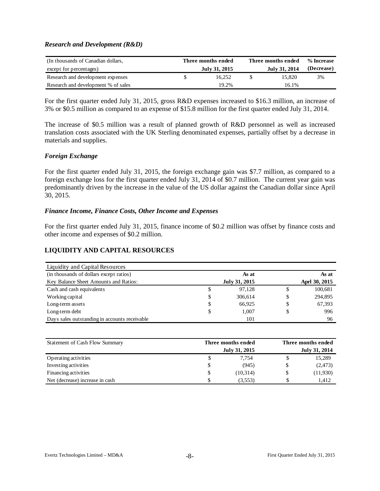### *Research and Development (R&D)*

| (In thousands of Canadian dollars,  | Three months ended | Three months ended | % Increase |
|-------------------------------------|--------------------|--------------------|------------|
| except for percentages)             | July 31, 2015      | July 31, 2014      | (Decrease) |
| Research and development expenses   | 16.252             | 15.820             | 3%         |
| Research and development % of sales | 19.2%              | 16.1%              |            |

For the first quarter ended July 31, 2015, gross R&D expenses increased to \$16.3 million, an increase of 3% or \$0.5 million as compared to an expense of \$15.8 million for the first quarter ended July 31, 2014.

The increase of \$0.5 million was a result of planned growth of R&D personnel as well as increased translation costs associated with the UK Sterling denominated expenses, partially offset by a decrease in materials and supplies.

### *Foreign Exchange*

For the first quarter ended July 31, 2015, the foreign exchange gain was \$7.7 million, as compared to a foreign exchange loss for the first quarter ended July 31, 2014 of \$0.7 million. The current year gain was predominantly driven by the increase in the value of the US dollar against the Canadian dollar since April 30, 2015.

### *Finance Income, Finance Costs, Other Income and Expenses*

For the first quarter ended July 31, 2015, finance income of \$0.2 million was offset by finance costs and other income and expenses of \$0.2 million.

### **LIQUIDITY AND CAPITAL RESOURCES**

| Liquidity and Capital Resources               |               |               |
|-----------------------------------------------|---------------|---------------|
| (in thousands of dollars except ratios)       | As at         | As at         |
| Key Balance Sheet Amounts and Ratios:         | July 31, 2015 | Aprl 30, 2015 |
| Cash and cash equivalents                     | \$<br>97,128  | \$<br>100,681 |
| Working capital                               | \$<br>306,614 | \$<br>294,895 |
| Long-term assets                              | \$<br>66,925  | \$<br>67,393  |
| Long-term debt                                | \$<br>1.007   | \$<br>996     |
| Days sales outstanding in accounts receivable | 101           | 96            |

| Statement of Cash Flow Summary  |   | Three months ended |  |               |  |  |  |
|---------------------------------|---|--------------------|--|---------------|--|--|--|
|                                 |   | July 31, 2015      |  | July 31, 2014 |  |  |  |
| Operating activities            |   | 7.754              |  | 15,289        |  |  |  |
| Investing activities            |   | (945)              |  | (2,473)       |  |  |  |
| Financing activities            | J | (10,314)           |  | (11,930)      |  |  |  |
| Net (decrease) increase in cash |   | (3.553)            |  | 1.412         |  |  |  |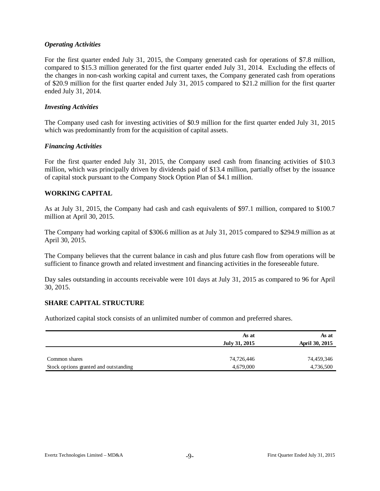### *Operating Activities*

For the first quarter ended July 31, 2015, the Company generated cash for operations of \$7.8 million, compared to \$15.3 million generated for the first quarter ended July 31, 2014. Excluding the effects of the changes in non-cash working capital and current taxes, the Company generated cash from operations of \$20.9 million for the first quarter ended July 31, 2015 compared to \$21.2 million for the first quarter ended July 31, 2014.

#### *Investing Activities*

The Company used cash for investing activities of \$0.9 million for the first quarter ended July 31, 2015 which was predominantly from for the acquisition of capital assets.

### *Financing Activities*

For the first quarter ended July 31, 2015, the Company used cash from financing activities of \$10.3 million, which was principally driven by dividends paid of \$13.4 million, partially offset by the issuance of capital stock pursuant to the Company Stock Option Plan of \$4.1 million.

### **WORKING CAPITAL**

As at July 31, 2015, the Company had cash and cash equivalents of \$97.1 million, compared to \$100.7 million at April 30, 2015.

The Company had working capital of \$306.6 million as at July 31, 2015 compared to \$294.9 million as at April 30, 2015.

The Company believes that the current balance in cash and plus future cash flow from operations will be sufficient to finance growth and related investment and financing activities in the foreseeable future.

Day sales outstanding in accounts receivable were 101 days at July 31, 2015 as compared to 96 for April 30, 2015.

#### **SHARE CAPITAL STRUCTURE**

Authorized capital stock consists of an unlimited number of common and preferred shares.

|                                       | As at         | As at          |
|---------------------------------------|---------------|----------------|
|                                       | July 31, 2015 | April 30, 2015 |
|                                       |               |                |
| Common shares                         | 74,726,446    | 74,459,346     |
| Stock options granted and outstanding | 4,679,000     | 4,736,500      |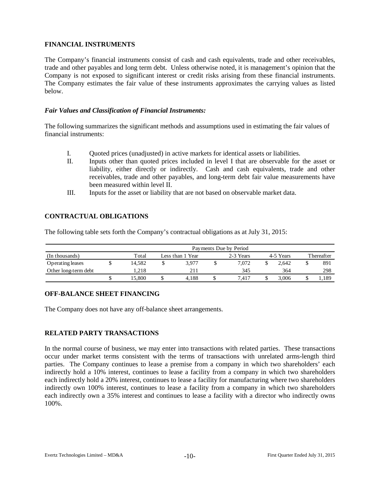## **FINANCIAL INSTRUMENTS**

The Company's financial instruments consist of cash and cash equivalents, trade and other receivables, trade and other payables and long term debt. Unless otherwise noted, it is management's opinion that the Company is not exposed to significant interest or credit risks arising from these financial instruments. The Company estimates the fair value of these instruments approximates the carrying values as listed below.

### *Fair Values and Classification of Financial Instruments:*

The following summarizes the significant methods and assumptions used in estimating the fair values of financial instruments:

- I. Quoted prices (unadjusted) in active markets for identical assets or liabilities.
- II. Inputs other than quoted prices included in level I that are observable for the asset or liability, either directly or indirectly. Cash and cash equivalents, trade and other receivables, trade and other payables, and long-term debt fair value measurements have been measured within level II.
- III. Inputs for the asset or liability that are not based on observable market data.

# **CONTRACTUAL OBLIGATIONS**

The following table sets forth the Company's contractual obligations as at July 31, 2015:

|                      | Payments Due by Period |                  |       |           |       |           |       |  |            |  |  |  |  |
|----------------------|------------------------|------------------|-------|-----------|-------|-----------|-------|--|------------|--|--|--|--|
| (In thousands)       | Total                  | Less than 1 Year |       | 2-3 Years |       | 4-5 Years |       |  | Thereafter |  |  |  |  |
| Operating leases     | 14.582                 |                  | 3.977 |           | 7.072 |           | 2.642 |  | 891        |  |  |  |  |
| Other long-term debt | 1.218                  |                  | 211   |           | 345   |           | 364   |  | 298        |  |  |  |  |
|                      | 5.800                  |                  | 4.188 |           | 7.417 |           | 3.006 |  | 1,189      |  |  |  |  |

### **OFF-BALANCE SHEET FINANCING**

The Company does not have any off-balance sheet arrangements.

### **RELATED PARTY TRANSACTIONS**

In the normal course of business, we may enter into transactions with related parties. These transactions occur under market terms consistent with the terms of transactions with unrelated arms-length third parties. The Company continues to lease a premise from a company in which two shareholders' each indirectly hold a 10% interest, continues to lease a facility from a company in which two shareholders each indirectly hold a 20% interest, continues to lease a facility for manufacturing where two shareholders indirectly own 100% interest, continues to lease a facility from a company in which two shareholders each indirectly own a 35% interest and continues to lease a facility with a director who indirectly owns 100%.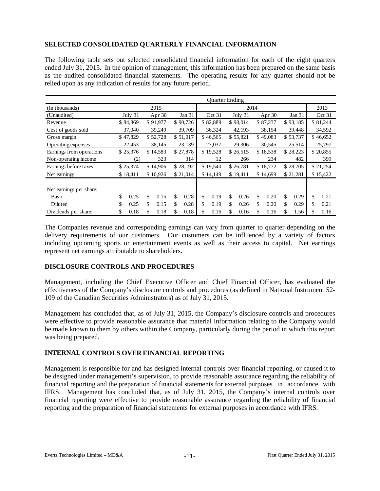# **SELECTED CONSOLIDATED QUARTERLY FINANCIAL INFORMATION**

The following table sets out selected consolidated financial information for each of the eight quarters ended July 31, 2015. In the opinion of management, this information has been prepared on the same basis as the audited consolidated financial statements. The operating results for any quarter should not be relied upon as any indication of results for any future period.

|                          | <b>Ouarter Ending</b> |          |    |                      |      |                      |                      |          |         |          |     |          |        |          |          |          |
|--------------------------|-----------------------|----------|----|----------------------|------|----------------------|----------------------|----------|---------|----------|-----|----------|--------|----------|----------|----------|
| (In thousands)           | 2015                  |          |    |                      | 2014 |                      |                      |          |         |          |     |          |        | 2013     |          |          |
| (Unaudited)              |                       | July 31  |    | Apr $30$             |      | Jan 31               | Oct 31               |          | July 31 |          |     | Apr $30$ |        | Jan 31   |          | Oct 31   |
| Revenue                  |                       | \$84,869 |    | \$91,977             |      | \$90,726             |                      | \$82,889 |         | \$98,014 |     | \$87,237 |        | \$93,185 |          | \$81,244 |
| Cost of goods sold       |                       | 37,040   |    | 39,249               |      | 39,709               |                      | 36,324   |         | 42,193   |     | 38,154   |        | 39,448   |          | 34,592   |
| Gross margin             |                       | \$47,829 |    | \$52,728             |      | \$51,017             |                      | \$46,565 |         | \$55,821 |     | \$49,083 |        | \$53,737 |          | \$46,652 |
| Operating expenses       |                       | 22,453   |    | 38,145               |      | 23,139               |                      | 27,037   | 29,306  |          |     | 30,545   | 25,514 |          |          | 25,797   |
| Earnings from operations |                       | \$25,376 |    | \$14,583             |      | \$27,878             | \$19,528<br>\$26,515 |          |         | \$18,538 |     | \$28,223 |        |          | \$20,855 |          |
| Non-operating income     |                       | (2)      |    | 323                  |      | 314                  | 12<br>266            |          | 234     |          | 482 |          | 399    |          |          |          |
| Earnings before taxes    |                       | \$25,374 |    | \$28,192<br>\$14,906 |      | \$19,540<br>\$26,781 |                      | \$18,772 |         | \$28,705 |     | \$21,254 |        |          |          |          |
| Net earnings             |                       | \$18,411 |    | \$10,926             |      | \$21,014             |                      | \$14,149 |         | \$19,411 |     | \$14,699 |        | \$21,281 |          | \$15,422 |
| Net earnings per share:  |                       |          |    |                      |      |                      |                      |          |         |          |     |          |        |          |          |          |
| Basic                    | \$                    | 0.25     | \$ | 0.15                 | \$   | 0.28                 | \$                   | 0.19     | \$      | 0.26     | \$  | 0.20     | \$     | 0.29     | \$       | 0.21     |
| Diluted                  | \$                    | 0.25     | \$ | 0.15                 | \$   | 0.28                 | \$                   | 0.19     | \$      | 0.26     | \$  | 0.20     | \$     | 0.29     | \$       | 0.21     |
| Dividends per share:     | \$                    | 0.18     | \$ | 0.18                 | \$   | 0.18                 | \$                   | 0.16     | \$      | 0.16     | \$  | 0.16     | S      | 1.56     | \$       | 0.16     |

The Companies revenue and corresponding earnings can vary from quarter to quarter depending on the delivery requirements of our customers. Our customers can be influenced by a variety of factors including upcoming sports or entertainment events as well as their access to capital. Net earnings represent net earnings attributable to shareholders.

### **DISCLOSURE CONTROLS AND PROCEDURES**

Management, including the Chief Executive Officer and Chief Financial Officer, has evaluated the effectiveness of the Company's disclosure controls and procedures (as defined in National Instrument 52- 109 of the Canadian Securities Administrators) as of July 31, 2015.

Management has concluded that, as of July 31, 2015, the Company's disclosure controls and procedures were effective to provide reasonable assurance that material information relating to the Company would be made known to them by others within the Company, particularly during the period in which this report was being prepared.

### **INTERNAL CONTROLS OVER FINANCIAL REPORTING**

Management is responsible for and has designed internal controls over financial reporting, or caused it to be designed under management's supervision, to provide reasonable assurance regarding the reliability of financial reporting and the preparation of financial statements for external purposes in accordance with IFRS. Management has concluded that, as of July 31, 2015, the Company's internal controls over financial reporting were effective to provide reasonable assurance regarding the reliability of financial reporting and the preparation of financial statements for external purposes in accordance with IFRS.